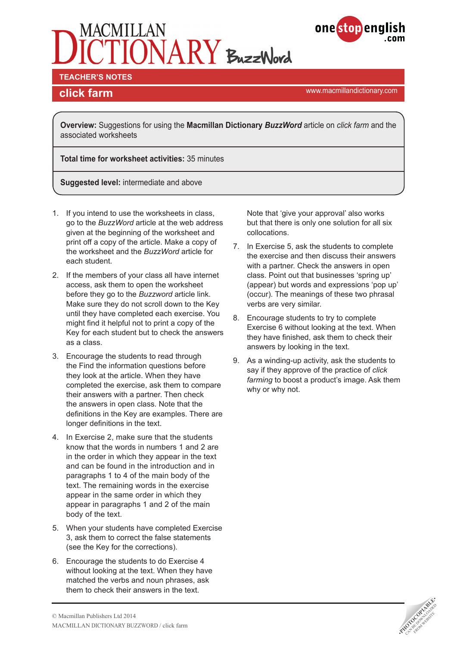



**TEACHER'S NOTES** 

<www.macmillandictionary.com> **click farm**

**Overview:** Suggestions for using the **Macmillan Dictionary** *BuzzWord* article on *click farm* and the associated worksheets

**Total time for worksheet activities:** 35 minutes

**Suggested level:** intermediate and above

- 1. If you intend to use the worksheets in class, go to the *BuzzWord* article at the web address given at the beginning of the worksheet and print off a copy of the article. Make a copy of the worksheet and the *BuzzWord* article for each student.
- 2. If the members of your class all have internet access, ask them to open the worksheet before they go to the *Buzzword* article link. Make sure they do not scroll down to the Key until they have completed each exercise. You might find it helpful not to print a copy of the Key for each student but to check the answers as a class.
- 3. Encourage the students to read through the Find the information questions before they look at the article. When they have completed the exercise, ask them to compare their answers with a partner. Then check the answers in open class. Note that the definitions in the Key are examples. There are longer definitions in the text.
- 4. In Exercise 2, make sure that the students know that the words in numbers 1 and 2 are in the order in which they appear in the text and can be found in the introduction and in paragraphs 1 to 4 of the main body of the text. The remaining words in the exercise appear in the same order in which they appear in paragraphs 1 and 2 of the main body of the text.
- 5. When your students have completed Exercise 3, ask them to correct the false statements (see the Key for the corrections).
- 6. Encourage the students to do Exercise 4 without looking at the text. When they have matched the verbs and noun phrases, ask them to check their answers in the text.

Note that 'give your approval' also works but that there is only one solution for all six collocations.

- 7. In Exercise 5, ask the students to complete the exercise and then discuss their answers with a partner. Check the answers in open class. Point out that businesses 'spring up' (appear) but words and expressions 'pop up' (occur). The meanings of these two phrasal verbs are very similar.
- 8. Encourage students to try to complete Exercise 6 without looking at the text. When they have finished, ask them to check their answers by looking in the text.
- 9. As a winding-up activity, ask the students to say if they approve of the practice of *click*  farming to boost a product's image. Ask them why or why not.

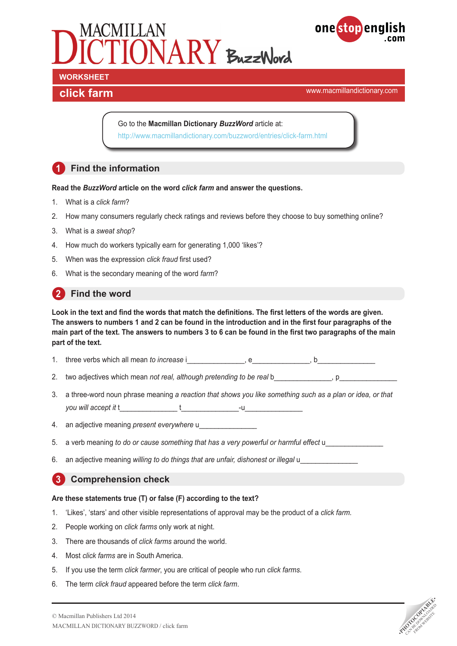



**click farm click** farm **click** farm **click** farm **click farm click** *click* **farm c** 

Go to the **Macmillan Dictionary** *BuzzWord* article at: <http://www.macmillandictionary.com/buzzword/entries/click-farm.html>

# **1 Find the information**

#### **Read the** *BuzzWord* **article on the word** *click farm* **and answer the questions.**

- 1. What is a *click farm*?
- 2. How many consumers regularly check ratings and reviews before they choose to buy something online?
- 3. What is a *sweat shop*?
- 4. How much do workers typically earn for generating 1,000 'likes'?
- 5. When was the expression *click fraud* first used?
- 6. What is the secondary meaning of the word *farm*?

## **2** Find the word

**Look in the text and find the words that match the definitions. The first letters of the words are given. The answers to numbers 1 and 2 can be found in the introduction and in the first four paragraphs of the main part of the text. The answers to numbers 3 to 6 can be found in the first two paragraphs of the main part of the text.**

- 1. three verbs which all mean *to increase* i equal only equal to the equal on the equal on the equal on the equal on the equal on the equal on the equal on the equal on the equal on the equal on the equal on the equal on
- 2. two adjectives which mean *not real, although pretending to be real* b \_\_\_\_\_\_\_\_\_\_, p
- 3. a three-word noun phrase meaning *a reaction that shows you like something such as a plan or idea, or that you will accept it* t\_\_\_\_\_\_\_\_\_\_\_\_\_\_\_ t\_\_\_\_\_\_\_\_\_\_\_\_\_\_\_-u\_\_\_\_\_\_\_\_\_\_\_\_\_\_\_

4. an adjective meaning *present everywhere* u\_\_\_\_\_\_\_\_\_\_\_\_\_\_\_

- 5. a verb meaning *to do or cause something that has a very powerful or harmful effect* u\_\_\_\_\_\_\_\_\_\_\_\_\_\_\_
- 6. an adjective meaning *willing to do things that are unfair, dishonest or illegal* u\_\_\_\_\_\_\_\_\_\_\_\_\_\_\_

## **3 Comprehension check**

#### **Are these statements true (T) or false (F) according to the text?**

- 1. 'Likes', 'stars' and other visible representations of approval may be the product of a *click farm.*
- 2. People working on *click farms* only work at night.
- 3. There are thousands of *click farms* around the world.
- 4. Most *click farms* are in South America.
- 5. If you use the term *click farmer*, you are critical of people who run *click farms*.
- 6. The term *click fraud* appeared before the term *click farm*.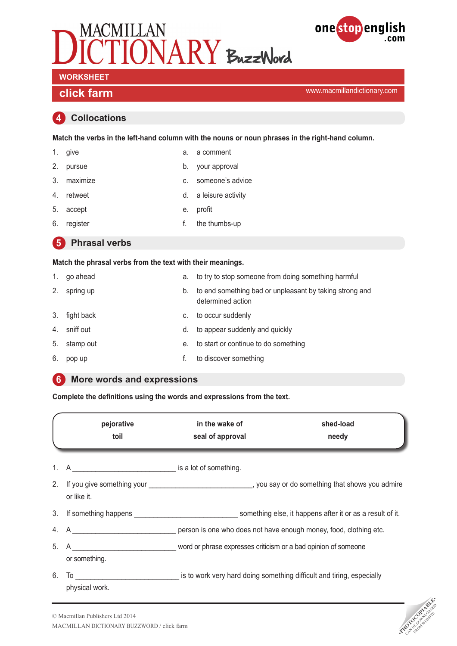



**click farm click** farm **click** farm **click** farm **click farm click farm click farm c** 

#### **4 Collocations**

**Match the verbs in the left-hand column with the nouns or noun phrases in the right-hand column.**

- 
- 1. give a. a comment
- 2. pursue b. your approval
- 3. maximize c. someone's advice
	-
- 4. retweet **d.** a leisure activity
- 5. accept e. profit
	-
- 6. register **6.** register **f.** the thumbs-up
- **5** Phrasal verbs

#### **Match the phrasal verbs from the text with their meanings.**

- 1. go ahead **a.** to try to stop someone from doing something harmful 2. spring up b. to end something bad or unpleasant by taking strong and determined action 3. fight back c. to occur suddenly 4. sniff out **d.** to appear suddenly and quickly
- 5. stamp out e. to start or continue to do something
- 6. pop up f. to discover something

#### **6 More words and expressions**

**Complete the definitions using the words and expressions from the text.** 

|    | pejorative<br>toil                           | in the wake of<br>seal of approval                                                           | shed-load<br>needy |
|----|----------------------------------------------|----------------------------------------------------------------------------------------------|--------------------|
| 1. |                                              |                                                                                              |                    |
| 2. | or like it.                                  |                                                                                              |                    |
|    |                                              | 3. If something happens example is something else, it happens after it or as a result of it. |                    |
|    |                                              |                                                                                              |                    |
|    | or something.                                | 5. A COLLECT 2007 Word or phrase expresses criticism or a bad opinion of someone             |                    |
| 6. | $To$ and the set of $\sim$<br>physical work. | is to work very hard doing something difficult and tiring, especially                        |                    |